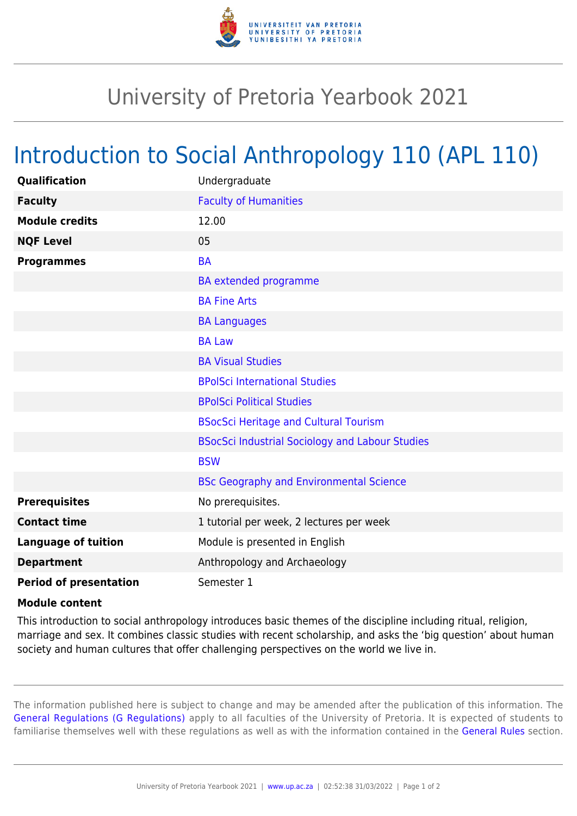

## University of Pretoria Yearbook 2021

## Introduction to Social Anthropology 110 (APL 110)

| Qualification                 | Undergraduate                                          |
|-------------------------------|--------------------------------------------------------|
| <b>Faculty</b>                | <b>Faculty of Humanities</b>                           |
| <b>Module credits</b>         | 12.00                                                  |
| <b>NQF Level</b>              | 05                                                     |
| <b>Programmes</b>             | <b>BA</b>                                              |
|                               | BA extended programme                                  |
|                               | <b>BA Fine Arts</b>                                    |
|                               | <b>BA Languages</b>                                    |
|                               | <b>BA Law</b>                                          |
|                               | <b>BA Visual Studies</b>                               |
|                               | <b>BPolSci International Studies</b>                   |
|                               | <b>BPolSci Political Studies</b>                       |
|                               | <b>BSocSci Heritage and Cultural Tourism</b>           |
|                               | <b>BSocSci Industrial Sociology and Labour Studies</b> |
|                               | <b>BSW</b>                                             |
|                               | <b>BSc Geography and Environmental Science</b>         |
| <b>Prerequisites</b>          | No prerequisites.                                      |
| <b>Contact time</b>           | 1 tutorial per week, 2 lectures per week               |
| <b>Language of tuition</b>    | Module is presented in English                         |
| <b>Department</b>             | Anthropology and Archaeology                           |
| <b>Period of presentation</b> | Semester 1                                             |

## **Module content**

This introduction to social anthropology introduces basic themes of the discipline including ritual, religion, marriage and sex. It combines classic studies with recent scholarship, and asks the 'big question' about human society and human cultures that offer challenging perspectives on the world we live in.

The information published here is subject to change and may be amended after the publication of this information. The [General Regulations \(G Regulations\)](https://www.up.ac.za/yearbooks/2021/rules/view/REG) apply to all faculties of the University of Pretoria. It is expected of students to familiarise themselves well with these regulations as well as with the information contained in the [General Rules](https://www.up.ac.za/yearbooks/2021/rules/view/RUL) section.